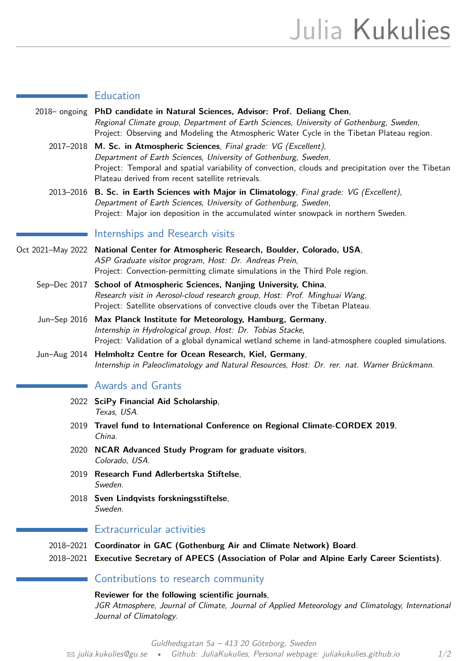| <b>Education</b> |
|------------------|
|                  |
|                  |
|                  |

| 2018– ongoing PhD candidate in Natural Sciences, Advisor: Prof. Deliang Chen,<br>Regional Climate group, Department of Earth Sciences, University of Gothenburg, Sweden,<br>Project: Observing and Modeling the Atmospheric Water Cycle in the Tibetan Plateau region.                               |
|------------------------------------------------------------------------------------------------------------------------------------------------------------------------------------------------------------------------------------------------------------------------------------------------------|
| 2017-2018 M. Sc. in Atmospheric Sciences, Final grade: VG (Excellent),<br>Department of Earth Sciences, University of Gothenburg, Sweden,<br>Project: Temporal and spatial variability of convection, clouds and precipitation over the Tibetan<br>Plateau derived from recent satellite retrievals. |
| 2013-2016 B. Sc. in Earth Sciences with Major in Climatology, Final grade: VG (Excellent),<br>Department of Earth Sciences, University of Gothenburg, Sweden,                                                                                                                                        |

# Project: Major ion deposition in the accumulated winter snowpack in northern Sweden.

#### Internships and Research visits  $\mathcal{L}^{\text{max}}$

- Oct 2021–May 2022 **National Center for Atmospheric Research, Boulder, Colorado, USA**, ASP Graduate visitor program, Host: Dr. Andreas Prein, Project: Convection-permitting climate simulations in the Third Pole region.
	- Sep–Dec 2017 **School of Atmospheric Sciences, Nanjing University, China**, Research visit in Aerosol-cloud research group, Host: Prof. Minghuai Wang, Project: Satellite observations of convective clouds over the Tibetan Plateau.
	- Jun–Sep 2016 **Max Planck Institute for Meteorology, Hamburg, Germany**, Internship in Hydrological group, Host: Dr. Tobias Stacke, Project: Validation of a global dynamical wetland scheme in land-atmosphere coupled simulations.
	- Jun–Aug 2014 **Helmholtz Centre for Ocean Research, Kiel, Germany**, Internship in Paleoclimatology and Natural Resources, Host: Dr. rer. nat. Warner Brückmann.

# Awards and Grants

- 2022 **SciPy Financial Aid Scholarship**, Texas, USA.
- 2019 **Travel fund to International Conference on Regional Climate-CORDEX 2019**, China.
- 2020 **NCAR Advanced Study Program for graduate visitors**, Colorado, USA.
- 2019 **Research Fund Adlerbertska Stiftelse**, Sweden.
- 2018 **Sven Lindqvists forskningsstiftelse**, Sweden.

# Extracurricular activities

- 2018–2021 **Coordinator in GAC (Gothenburg Air and Climate Network) Board**.
- 2018–2021 **Executive Secretary of APECS (Association of Polar and Alpine Early Career Scientists)**.

# Contributions to research community

**Reviewer for the following scientific journals**,

JGR Atmosphere, Journal of Climate, Journal of Applied Meteorology and Climatology, International Journal of Climatology.